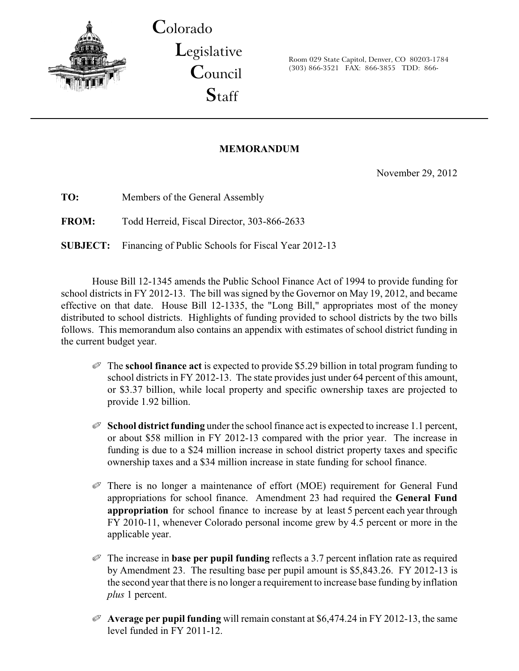

**C**olorado

**L**egislative **C**ouncil **S**taff

Room 029 State Capitol, Denver, CO 80203-1784 (303) 866-3521 FAX: 866-3855 TDD: 866-

### **MEMORANDUM**

November 29, 2012

**TO:** Members of the General Assembly **FROM:** Todd Herreid, Fiscal Director, 303-866-2633 **SUBJECT:** Financing of Public Schools for Fiscal Year 2012-13

House Bill 12-1345 amends the Public School Finance Act of 1994 to provide funding for school districts in FY 2012-13. The bill was signed by the Governor on May 19, 2012, and became effective on that date. House Bill 12-1335, the "Long Bill," appropriates most of the money distributed to school districts. Highlights of funding provided to school districts by the two bills follows. This memorandum also contains an appendix with estimates of school district funding in the current budget year.

- Q The **school finance act** is expected to provide \$5.29 billion in total program funding to school districts in FY 2012-13. The state provides just under 64 percent of this amount, or \$3.37 billion, while local property and specific ownership taxes are projected to provide 1.92 billion.
- Q **School district funding** under the school finance act is expected to increase 1.1 percent, or about \$58 million in FY 2012-13 compared with the prior year. The increase in funding is due to a \$24 million increase in school district property taxes and specific ownership taxes and a \$34 million increase in state funding for school finance.
- Q There is no longer a maintenance of effort (MOE) requirement for General Fund appropriations for school finance. Amendment 23 had required the **General Fund appropriation** for school finance to increase by at least 5 percent each year through FY 2010-11, whenever Colorado personal income grew by 4.5 percent or more in the applicable year.
- $\mathcal O$  The increase in **base per pupil funding** reflects a 3.7 percent inflation rate as required by Amendment 23. The resulting base per pupil amount is \$5,843.26. FY 2012-13 is the second yearthat there is no longer a requirement to increase base funding by inflation *plus* 1 percent.
- Q **Average per pupil funding** will remain constant at \$6,474.24 in FY 2012-13, the same level funded in FY 2011-12.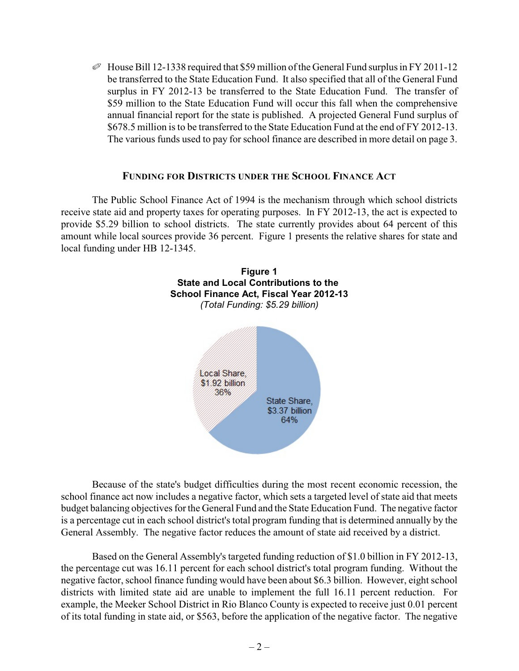$\mathcal O$  House Bill 12-1338 required that \$59 million of the General Fund surplus in FY 2011-12 be transferred to the State Education Fund. It also specified that all of the General Fund surplus in FY 2012-13 be transferred to the State Education Fund. The transfer of \$59 million to the State Education Fund will occur this fall when the comprehensive annual financial report for the state is published. A projected General Fund surplus of \$678.5 million is to be transferred to the State Education Fund at the end of FY 2012-13. The various funds used to pay for school finance are described in more detail on page 3.

### **FUNDING FOR DISTRICTS UNDER THE SCHOOL FINANCE ACT**

The Public School Finance Act of 1994 is the mechanism through which school districts receive state aid and property taxes for operating purposes. In FY 2012-13, the act is expected to provide \$5.29 billion to school districts. The state currently provides about 64 percent of this amount while local sources provide 36 percent. Figure 1 presents the relative shares for state and local funding under HB 12-1345.



Because of the state's budget difficulties during the most recent economic recession, the school finance act now includes a negative factor, which sets a targeted level of state aid that meets budget balancing objectives for the General Fund and the State Education Fund. The negative factor is a percentage cut in each school district's total program funding that is determined annually by the General Assembly. The negative factor reduces the amount of state aid received by a district.

Based on the General Assembly's targeted funding reduction of \$1.0 billion in FY 2012-13, the percentage cut was 16.11 percent for each school district's total program funding. Without the negative factor, school finance funding would have been about \$6.3 billion. However, eight school districts with limited state aid are unable to implement the full 16.11 percent reduction. For example, the Meeker School District in Rio Blanco County is expected to receive just 0.01 percent of its total funding in state aid, or \$563, before the application of the negative factor. The negative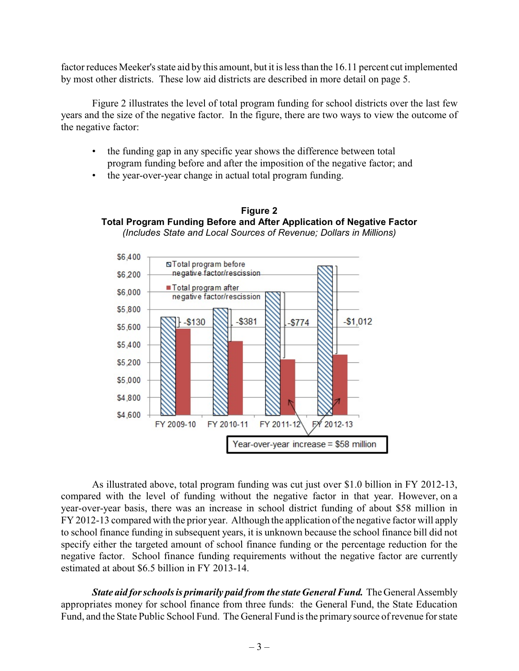factor reduces Meeker's state aid bythis amount, but it is less than the 16.11 percent cut implemented by most other districts. These low aid districts are described in more detail on page 5.

Figure 2 illustrates the level of total program funding for school districts over the last few years and the size of the negative factor. In the figure, there are two ways to view the outcome of the negative factor:

• the funding gap in any specific year shows the difference between total program funding before and after the imposition of the negative factor; and

**Figure 2**

• the year-over-year change in actual total program funding.



As illustrated above, total program funding was cut just over \$1.0 billion in FY 2012-13, compared with the level of funding without the negative factor in that year. However, on a year-over-year basis, there was an increase in school district funding of about \$58 million in FY 2012-13 compared with the prior year. Although the application of the negative factor will apply to school finance funding in subsequent years, it is unknown because the school finance bill did not specify either the targeted amount of school finance funding or the percentage reduction for the negative factor. School finance funding requirements without the negative factor are currently estimated at about \$6.5 billion in FY 2013-14.

*State aid for schools is primarily paid from the state General Fund.* The General Assembly appropriates money for school finance from three funds: the General Fund, the State Education Fund, and the State Public School Fund. The General Fund is the primary source of revenue for state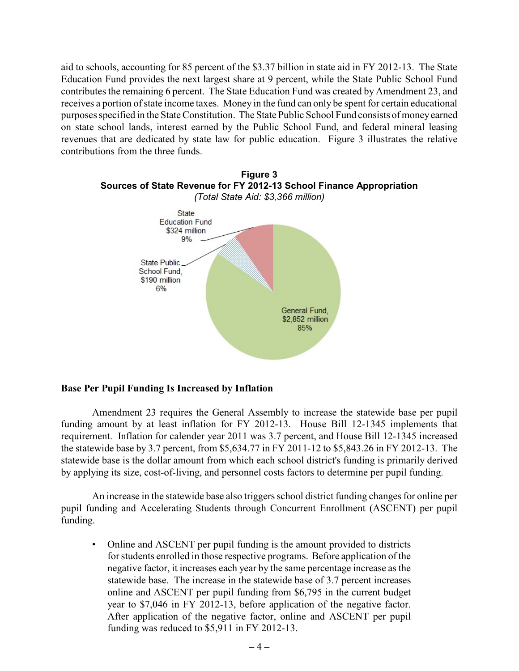aid to schools, accounting for 85 percent of the \$3.37 billion in state aid in FY 2012-13. The State Education Fund provides the next largest share at 9 percent, while the State Public School Fund contributes the remaining 6 percent. The State Education Fund was created by Amendment 23, and receives a portion of state income taxes. Money in the fund can only be spent for certain educational purposes specified in the State Constitution. The State Public School Fund consists of moneyearned on state school lands, interest earned by the Public School Fund, and federal mineral leasing revenues that are dedicated by state law for public education. Figure 3 illustrates the relative contributions from the three funds.



#### **Base Per Pupil Funding Is Increased by Inflation**

Amendment 23 requires the General Assembly to increase the statewide base per pupil funding amount by at least inflation for FY 2012-13. House Bill 12-1345 implements that requirement. Inflation for calender year 2011 was 3.7 percent, and House Bill 12-1345 increased the statewide base by 3.7 percent, from \$5,634.77 in FY 2011-12 to \$5,843.26 in FY 2012-13. The statewide base is the dollar amount from which each school district's funding is primarily derived by applying its size, cost-of-living, and personnel costs factors to determine per pupil funding.

An increase in the statewide base also triggers school district funding changes for online per pupil funding and Accelerating Students through Concurrent Enrollment (ASCENT) per pupil funding.

• Online and ASCENT per pupil funding is the amount provided to districts for students enrolled in those respective programs. Before application of the negative factor, it increases each year by the same percentage increase as the statewide base. The increase in the statewide base of 3.7 percent increases online and ASCENT per pupil funding from \$6,795 in the current budget year to \$7,046 in FY 2012-13, before application of the negative factor. After application of the negative factor, online and ASCENT per pupil funding was reduced to \$5,911 in FY 2012-13.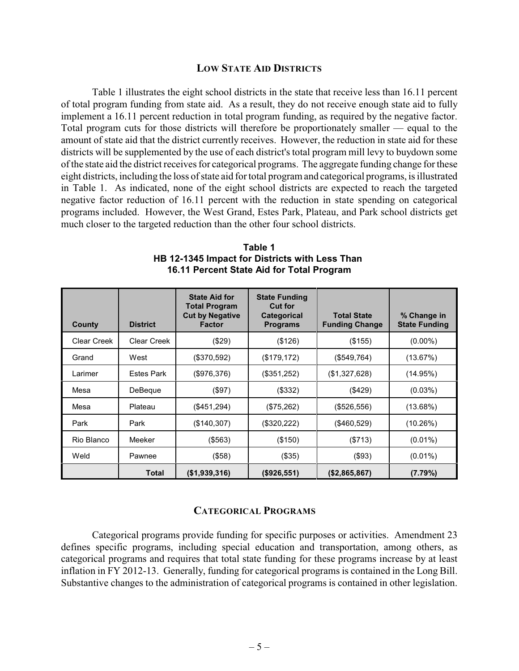#### **LOW STATE AID DISTRICTS**

Table 1 illustrates the eight school districts in the state that receive less than 16.11 percent of total program funding from state aid. As a result, they do not receive enough state aid to fully implement a 16.11 percent reduction in total program funding, as required by the negative factor. Total program cuts for those districts will therefore be proportionately smaller — equal to the amount of state aid that the district currently receives. However, the reduction in state aid for these districts will be supplemented by the use of each district's total program mill levy to buydown some of the state aid the district receives for categorical programs. The aggregate funding change for these eight districts, including the loss of state aid for total program and categorical programs, is illustrated in Table 1. As indicated, none of the eight school districts are expected to reach the targeted negative factor reduction of 16.11 percent with the reduction in state spending on categorical programs included. However, the West Grand, Estes Park, Plateau, and Park school districts get much closer to the targeted reduction than the other four school districts.

| County             | <b>District</b>    | <b>State Aid for</b><br><b>Total Program</b><br><b>Cut by Negative</b><br><b>Factor</b> | <b>State Funding</b><br><b>Cut for</b><br><b>Categorical</b><br><b>Programs</b> | <b>Total State</b><br><b>Funding Change</b> | % Change in<br><b>State Funding</b> |
|--------------------|--------------------|-----------------------------------------------------------------------------------------|---------------------------------------------------------------------------------|---------------------------------------------|-------------------------------------|
| <b>Clear Creek</b> | <b>Clear Creek</b> | $(\$29)$                                                                                | (\$126)                                                                         | (\$155)                                     | $(0.00\%)$                          |
| Grand              | West               | (\$370,592)                                                                             | (\$179, 172)                                                                    | $($ \$549,764 $)$                           | (13.67%)                            |
| Larimer            | <b>Estes Park</b>  | (\$976,376)                                                                             | (\$351,252)                                                                     | (\$1,327,628)                               | (14.95%)                            |
| Mesa               | DeBeque            | (\$97)                                                                                  | (\$332)                                                                         | (\$429)                                     | $(0.03\%)$                          |
| Mesa               | Plateau            | $(\$451,294)$                                                                           | (\$75,262)                                                                      | (\$526,556)                                 | (13.68%)                            |
| Park               | Park               | (\$140,307)                                                                             | (\$320,222)                                                                     | (\$460,529)                                 | (10.26%)                            |
| Rio Blanco         | Meeker             | (\$563)                                                                                 | (\$150)                                                                         | (\$713)                                     | $(0.01\%)$                          |
| Weld               | Pawnee             | (\$58)                                                                                  | (\$35)                                                                          | (\$93)                                      | $(0.01\%)$                          |
|                    | Total              | (\$1,939,316)                                                                           | (\$926,551)                                                                     | (\$2,865,867)                               | (7.79%)                             |

| Table 1                                        |
|------------------------------------------------|
| HB 12-1345 Impact for Districts with Less Than |
| 16.11 Percent State Aid for Total Program      |

#### **CATEGORICAL PROGRAMS**

Categorical programs provide funding for specific purposes or activities. Amendment 23 defines specific programs, including special education and transportation, among others, as categorical programs and requires that total state funding for these programs increase by at least inflation in FY 2012-13. Generally, funding for categorical programs is contained in the Long Bill. Substantive changes to the administration of categorical programs is contained in other legislation.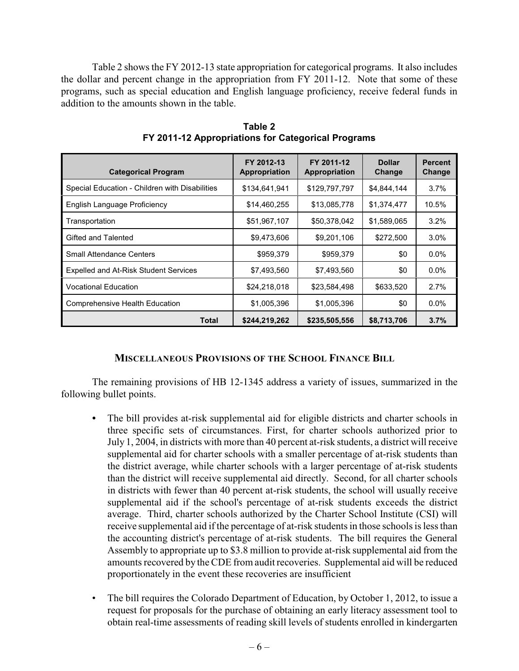Table 2 shows the FY 2012-13 state appropriation for categorical programs. It also includes the dollar and percent change in the appropriation from FY 2011-12. Note that some of these programs, such as special education and English language proficiency, receive federal funds in addition to the amounts shown in the table.

| <b>Categorical Program</b>                     | FY 2012-13<br>Appropriation | FY 2011-12<br>Appropriation | <b>Dollar</b><br>Change | <b>Percent</b><br>Change |
|------------------------------------------------|-----------------------------|-----------------------------|-------------------------|--------------------------|
| Special Education - Children with Disabilities | \$134,641,941               | \$129,797,797               | \$4,844,144             | $3.7\%$                  |
| English Language Proficiency                   | \$14,460,255                | \$13,085,778                | \$1,374,477             | 10.5%                    |
| Transportation                                 | \$51,967,107                | \$50,378,042                | \$1,589,065             | $3.2\%$                  |
| Gifted and Talented                            | \$9,473,606                 | \$9,201,106                 | \$272,500               | $3.0\%$                  |
| <b>Small Attendance Centers</b>                | \$959,379                   | \$959,379                   | \$0                     | $0.0\%$                  |
| <b>Expelled and At-Risk Student Services</b>   | \$7,493,560                 | \$7,493,560                 | \$0                     | $0.0\%$                  |
| <b>Vocational Education</b>                    | \$24,218,018                | \$23,584,498                | \$633,520               | 2.7%                     |
| Comprehensive Health Education                 | \$1,005,396                 | \$1,005,396                 | \$0                     | $0.0\%$                  |
| Total                                          | \$244,219,262               | \$235,505,556               | \$8,713,706             | 3.7%                     |

**Table 2 FY 2011-12 Appropriations for Categorical Programs**

### **MISCELLANEOUS PROVISIONS OF THE SCHOOL FINANCE BILL**

The remaining provisions of HB 12-1345 address a variety of issues, summarized in the following bullet points.

- The bill provides at-risk supplemental aid for eligible districts and charter schools in three specific sets of circumstances. First, for charter schools authorized prior to July 1, 2004, in districts with more than 40 percent at-risk students, a district will receive supplemental aid for charter schools with a smaller percentage of at-risk students than the district average, while charter schools with a larger percentage of at-risk students than the district will receive supplemental aid directly. Second, for all charter schools in districts with fewer than 40 percent at-risk students, the school will usually receive supplemental aid if the school's percentage of at-risk students exceeds the district average. Third, charter schools authorized by the Charter School Institute (CSI) will receive supplemental aid if the percentage of at-risk students in those schools is less than the accounting district's percentage of at-risk students. The bill requires the General Assembly to appropriate up to \$3.8 million to provide at-risk supplemental aid from the amounts recovered by the CDE from audit recoveries. Supplemental aid will be reduced proportionately in the event these recoveries are insufficient
- The bill requires the Colorado Department of Education, by October 1, 2012, to issue a request for proposals for the purchase of obtaining an early literacy assessment tool to obtain real-time assessments of reading skill levels of students enrolled in kindergarten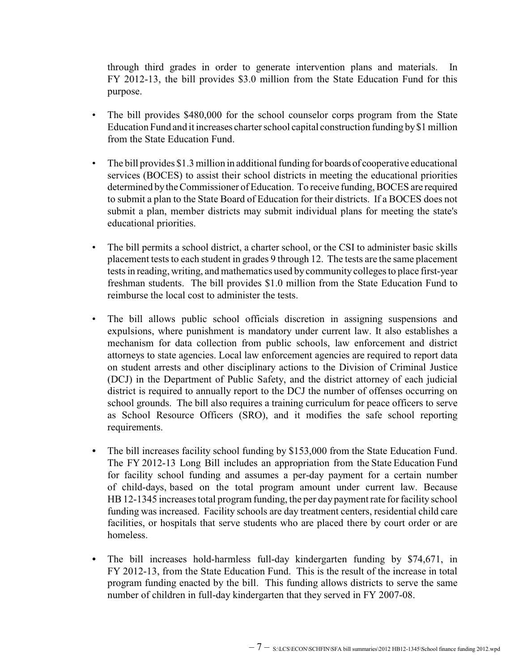through third grades in order to generate intervention plans and materials. In FY 2012-13, the bill provides \$3.0 million from the State Education Fund for this purpose.

- The bill provides \$480,000 for the school counselor corps program from the State Education Fund and it increases charter school capital construction funding by\$1 million from the State Education Fund.
- The bill provides \$1.3 million in additional funding for boards of cooperative educational services (BOCES) to assist their school districts in meeting the educational priorities determined bythe Commissioner of Education. To receive funding, BOCES are required to submit a plan to the State Board of Education for their districts. If a BOCES does not submit a plan, member districts may submit individual plans for meeting the state's educational priorities.
- The bill permits a school district, a charter school, or the CSI to administer basic skills placement tests to each student in grades 9 through 12. The tests are the same placement tests in reading, writing, and mathematics used by community colleges to place first-year freshman students. The bill provides \$1.0 million from the State Education Fund to reimburse the local cost to administer the tests.
- The bill allows public school officials discretion in assigning suspensions and expulsions, where punishment is mandatory under current law. It also establishes a mechanism for data collection from public schools, law enforcement and district attorneys to state agencies. Local law enforcement agencies are required to report data on student arrests and other disciplinary actions to the Division of Criminal Justice (DCJ) in the Department of Public Safety, and the district attorney of each judicial district is required to annually report to the DCJ the number of offenses occurring on school grounds. The bill also requires a training curriculum for peace officers to serve as School Resource Officers (SRO), and it modifies the safe school reporting requirements.
- *•* The bill increases facility school funding by \$153,000 from the State Education Fund. The FY 2012-13 Long Bill includes an appropriation from the State Education Fund for facility school funding and assumes a per-day payment for a certain number of child-days, based on the total program amount under current law. Because HB12-1345 increases total program funding, the per day payment rate for facility school funding was increased. Facility schools are day treatment centers, residential child care facilities, or hospitals that serve students who are placed there by court order or are homeless.
- *•* The bill increases hold-harmless full-day kindergarten funding by \$74,671, in FY 2012-13, from the State Education Fund. This is the result of the increase in total program funding enacted by the bill. This funding allows districts to serve the same number of children in full-day kindergarten that they served in FY 2007-08.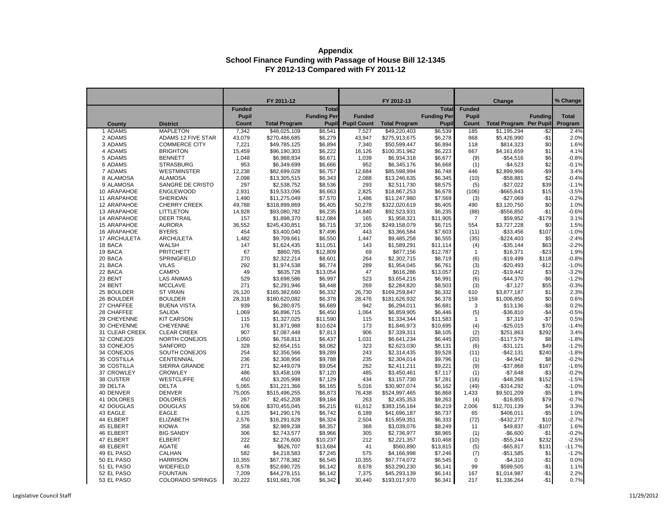|                          |                                                   |                 | FY 2011-12                   |                    |                    | FY 2012-13                    |                    |                | Change                         |                | % Change     |
|--------------------------|---------------------------------------------------|-----------------|------------------------------|--------------------|--------------------|-------------------------------|--------------------|----------------|--------------------------------|----------------|--------------|
|                          |                                                   | <b>Funded</b>   |                              | <b>Total</b>       |                    |                               | <b>Total</b>       | <b>Funded</b>  |                                |                |              |
|                          |                                                   | <b>Pupil</b>    |                              | <b>Funding Per</b> | <b>Funded</b>      |                               | <b>Funding Per</b> | <b>Pupil</b>   |                                | <b>Funding</b> | <b>Total</b> |
| <b>County</b>            | <b>District</b>                                   | <b>Count</b>    | <b>Total Program</b>         | <b>Pupil</b>       | <b>Pupil Count</b> | <b>Total Program</b>          | <b>Pupil</b>       | <b>Count</b>   | <b>Total Program Per Pupil</b> |                | Program      |
| 1 ADAMS                  | <b>MAPLETON</b>                                   | 7,342           | \$48,025,109                 | \$6,541            | 7,527              | \$49,220,403                  | \$6,539            | 185            | $\overline{1,195,294}$         | $-$ \$2        | 2.4%         |
| 2 ADAMS                  | <b>ADAMS 12 FIVE STAR</b><br><b>COMMERCE CITY</b> | 43,079          | \$270,486,685                | \$6,279            | 43,947             | \$275,913,675<br>\$50,599,447 | \$6,278            | 868<br>118     | \$5,426,990                    | $-$1$          | 2.0%         |
| 3 ADAMS<br>4 ADAMS       | <b>BRIGHTON</b>                                   | 7,221<br>15,459 | \$49,785,125<br>\$96,190,303 | \$6,894<br>\$6,222 | 7,340<br>16,126    | \$100,351,962                 | \$6,894<br>\$6,223 | 667            | \$814,323<br>\$4,161,659       | \$0<br>\$1     | 1.6%<br>4.1% |
| 5 ADAMS                  | <b>BENNETT</b>                                    | 1,048           | \$6,988,834                  | \$6,671            | 1,039              | \$6,934,318                   | \$6,677            | (9)            | $-$54,516$                     | \$6            | $-0.8%$      |
| 6 ADAMS                  | <b>STRASBURG</b>                                  | 953             | \$6,349,699                  | \$6,666            | 952                | \$6,345,176                   | \$6,668            | (1)            | $-$4,523$                      | \$2            | $-0.1%$      |
| 7 ADAMS                  | <b>WESTMINSTER</b>                                | 12,238          | \$82,699,028                 | \$6,757            | 12,684             | \$85,598,994                  | \$6,748            | 446            | \$2,899,966                    | $-$ \$9        | 3.4%         |
| 8 ALAMOSA                | <b>ALAMOSA</b>                                    | 2,098           | \$13,305,515                 | \$6,343            | 2,088              | \$13,246,635                  | \$6,345            | (10)           | $- $58,881$                    | \$2            | $-0.4%$      |
| 9 ALAMOSA                | SANGRE DE CRISTO                                  | 297             | \$2,538,752                  | \$8,536            | 293                | \$2,511,730                   | \$8,575            | (5)            | $-$27,022$                     | \$39           | $-1.1%$      |
| 10 ARAPAHOE              | <b>ENGLEWOOD</b>                                  | 2,931           | \$19,533,096                 | \$6,663            | 2,825              | \$18,867,253                  | \$6,678            | (106)          | $-$ \$665,843                  | \$15           | $-3.5%$      |
| 11 ARAPAHOE              | <b>SHERIDAN</b>                                   | 1,490           | \$11,275,049                 | \$7,570            | 1,486              | \$11,247,980                  | \$7,569            | (3)            | $-$27,069$                     | $-$1$          | $-0.2%$      |
| 12 ARAPAHOE              | <b>CHERRY CREEK</b>                               | 49,788          | \$318,899,869                | \$6,405            | 50,278             | \$322,020,619                 | \$6,405            | 490            | \$3,120,750                    | \$0            | 1.0%         |
| 13 ARAPAHOE              | <b>LITTLETON</b>                                  | 14,928          | \$93,080,782                 | \$6,235            | 14,840             | \$92,523,931                  | \$6,235            | (88)           | $-$556,850$                    | $-$1$          | $-0.6%$      |
| 14 ARAPAHOE              | <b>DEER TRAIL</b>                                 | 157             | \$1,898,370                  | \$12,084           | 165                | \$1,958,321                   | \$11,905           | $\overline{7}$ | \$59,952                       | $-$179$        | 3.1%         |
| 15 ARAPAHOE              | <b>AURORA</b>                                     | 36,552          | \$245,430,851                | \$6,715            | 37,106             | \$249,158,079                 | \$6,715            | 554            | \$3,727,228                    | \$0            | 1.5%         |
| 16 ARAPAHOE              | <b>BYERS</b>                                      | 454             | \$3,400,040                  | \$7,496            | 443                | \$3,366,584                   | \$7,603            | (11)           | $-$33,456$                     | \$107          | $-1.0%$      |
| 17 ARCHULETA             | <b>ARCHULETA</b>                                  | 1,482           | \$9,709,661                  | \$6,550            | 1,447              | \$9,485,258                   | \$6,555            | (35)           | $-$224,403$                    | \$5            | $-2.4%$      |
| 18 BACA                  | <b>WALSH</b>                                      | 147             | \$1,624,435                  | \$11,051           | 143                | \$1,589,291                   | \$11,114           | (4)            | $-$35,144$                     | \$63           | $-2.2%$      |
| 19 BACA                  | <b>PRITCHETT</b>                                  | 67              | \$860,785                    | \$12,809           | 69                 | \$877,156                     | \$12,787           | $\mathbf{1}$   | \$16,371                       | $-$ \$23       | 1.9%         |
| 20 BACA                  | SPRINGFIELD                                       | 270             | \$2,322,214                  | \$8,601            | 264                | \$2,302,715                   | \$8,719            | (6)            | $-$19,499$                     | \$118          | $-0.8%$      |
| 21 BACA                  | <b>VILAS</b>                                      | 292             | \$1,974,538                  | \$6,774            | 289                | \$1,954,045                   | \$6,761            | (3)            | $-$20,493$                     | $-$12$         | $-1.0%$      |
| 22 BACA                  | <b>CAMPO</b>                                      | 49              | \$635,728                    | \$13,054           | 47                 | \$616,286                     | \$13,057           | (2)            | $-$19,442$                     | \$3            | $-3.2%$      |
| 23 BENT                  | <b>LAS ANIMAS</b>                                 | 529             | \$3,698,586                  | \$6,997            | 523                | \$3,654,216                   | \$6,991            | (6)            | $-$44,370$                     | $-$ \$6        | $-1.2%$      |
| 24 BENT                  | <b>MCCLAVE</b>                                    | 271             | \$2,291,946                  | \$8,448            | 269                | \$2,284,820                   | \$8,503            | (3)            | $-$7,127$                      | \$55           | $-0.3%$      |
| 25 BOULDER               | <b>ST VRAIN</b>                                   | 26,120          | \$165,382,660                | \$6,332            | 26,730             | \$169,259,847                 | \$6,332            | 610            | \$3,877,187                    | \$1            | 2.3%         |
| 26 BOULDER<br>27 CHAFFEE | <b>BOULDER</b><br><b>BUENA VISTA</b>              | 28,318<br>939   | \$180,620,082<br>\$6,280,875 | \$6,378            | 28,476             | \$181,626,932                 | \$6,378            | 159<br>3       | \$1,006,850                    | \$0<br>$-$ \$8 | 0.6%<br>0.2% |
| 28 CHAFFEE               | <b>SALIDA</b>                                     | 1,069           | \$6,896,715                  | \$6,689<br>\$6,450 | 942<br>1,064       | \$6,294,011<br>\$6,859,905    | \$6,681<br>\$6,446 |                | \$13,136<br>$-$36,810$         | $-$ \$4        | $-0.5%$      |
| 29 CHEYENNE              | <b>KIT CARSON</b>                                 | 115             | \$1,327,025                  | \$11,590           | 115                | \$1,334,344                   | \$11,583           | (5)<br>-1      | \$7,319                        | $-$7$          | 0.5%         |
| 30 CHEYENNE              | <b>CHEYENNE</b>                                   | 176             | \$1,871,988                  | \$10,624           | 173                | \$1,846,973                   | \$10,695           | (4)            | $-$25,015$                     | \$70           | $-1.4%$      |
| 31 CLEAR CREEK           | <b>CLEAR CREEK</b>                                | 907             | \$7,087,448                  | \$7,813            | 906                | \$7,339,311                   | \$8,105            | (2)            | \$251,863                      | \$292          | 3.4%         |
| 32 CONEJOS               | NORTH CONEJOS                                     | 1,050           | \$6,758,813                  | \$6,437            | 1,031              | \$6,641,234                   | \$6,445            | (20)           | $-$117,579$                    | \$8            | $-1.8%$      |
| 33 CONEJOS               | <b>SANFORD</b>                                    | 328             | \$2,654,151                  | \$8,082            | 323                | \$2,623,030                   | \$8,131            | (6)            | $-$ \$31,121                   | \$49           | $-1.2%$      |
| 34 CONEJOS               | SOUTH CONEJOS                                     | 254             | \$2,356,566                  | \$9,289            | 243                | \$2,314,435                   | \$9,528            | (11)           | $-$42,131$                     | \$240          | $-1.8%$      |
| 35 COSTILLA              | <b>CENTENNIAL</b>                                 | 236             | \$2,308,956                  | \$9,788            | 235                | \$2,304,014                   | \$9,796            | (1)            | $-$4,942$                      | \$8            | $-0.2%$      |
| 36 COSTILLA              | <b>SIERRA GRANDE</b>                              | 271             | \$2,449,079                  | \$9,054            | 262                | \$2,411,211                   | \$9,221            | (9)            | $-$37,868$                     | \$167          | $-1.6%$      |
| 37 CROWLEY               | <b>CROWLEY</b>                                    | 486             | \$3,458,109                  | \$7,120            | 485                | \$3,450,461                   | \$7,117            | (1)            | $-$7,648$                      | $-$ \$3        | $-0.2%$      |
| 38 CUSTER                | <b>WESTCLIFFE</b>                                 | 450             | \$3,205,998                  | \$7,129            | 434                | \$3,157,730                   | \$7,281            | (16)           | $-$48,268$                     | \$152          | $-1.5%$      |
| 39 DELTA                 | <b>DELTA</b>                                      | 5,065           | \$31,221,366                 | \$6,165            | 5,016              | \$30,907,074                  | \$6,162            | (49)           | $-$ \$314,292                  | $-$ \$2        | $-1.0%$      |
| 40 DENVER                | <b>DENVER</b>                                     | 75,005          | \$515,496,255                | \$6,873            | 76,438             | \$524,997,465                 | \$6,868            | 1,433          | \$9,501,209                    | $- $5$         | 1.8%         |
| 41 DOLORES               | <b>DOLORES</b>                                    | 267             | \$2,452,208                  | \$9,184            | 263                | \$2,435,353                   | \$9,263            | (4)            | $-$16,855$                     | \$79           | $-0.7%$      |
| 42 DOUGLAS               | <b>DOUGLAS</b>                                    | 59,606          | \$370,455,045                | \$6,215            | 61,612             | \$383,156,184                 | \$6,219            | 2,006          | \$12,701,139                   | \$4            | 3.3%         |
| 43 EAGLE                 | <b>EAGLE</b>                                      | 6,125           | \$41,290,176                 | \$6,742            | 6,189              | \$41,696,187                  | \$6,737            | 65             | \$406,011                      | $- $5$         | 1.0%         |
| 44 ELBERT                | <b>ELIZABETH</b>                                  | 2,576           | \$16,291,628                 | \$6,324            | 2,504              | \$15,859,351                  | \$6,333            | (72)           | $-$432,277$                    | \$10           | $-2.7%$      |
| 45 ELBERT                | <b>KIOWA</b>                                      | 358             | \$2,989,238                  | \$8,357            | 368                | \$3,039,076                   | \$8,249            | 11             | \$49,837                       | $-$107$        | 1.6%         |
| 46 ELBERT                | <b>BIG SANDY</b>                                  | 306             | \$2,743,577                  | \$8,966            | 305                | \$2,736,977                   | \$8,965            | (1)            | $-$6,600$                      | $-$ \$1        | $-0.2%$      |
| 47 ELBERT                | <b>ELBERT</b>                                     | 222             | \$2,276,600                  | \$10,237           | 212                | \$2,221,357                   | \$10,468           | (10)           | $-$55,244$                     | \$232          | $-2.5%$      |
| 48 ELBERT                | <b>AGATE</b>                                      | 46              | \$626,707                    | \$13,684           | 41                 | \$560,890                     | \$13,815           | (5)            | $-$ \$65,817                   | \$131          | $-11.7%$     |
| 49 EL PASO               | <b>CALHAN</b>                                     | 582             | \$4,218,583                  | \$7,245            | 575                | \$4,166,998                   | \$7,246            | (7)            | $-$51,585$                     | \$1            | $-1.2%$      |
| 50 EL PASO<br>51 EL PASO | <b>HARRISON</b><br>WIDEFIELD                      | 10,355          | \$67,778,382                 | \$6,545            | 10,355             | \$67,774,072                  | \$6,545            | 0              | $-$4,310$<br>\$599,505         | $-$1$<br>$-$1$ | 0.0%<br>1.1% |
| 52 EL PASO               | <b>FOUNTAIN</b>                                   | 8,578<br>7,209  | \$52,690,725<br>\$44,278,151 | \$6,142<br>\$6,142 | 8,678<br>7,375     | \$53,290,230<br>\$45,293,139  | \$6,141<br>\$6,141 | 99<br>167      | \$1,014,987                    | $-$ \$1        | 2.2%         |
| 53 EL PASO               | <b>COLORADO SPRINGS</b>                           | 30,222          | \$191,681,706                | \$6,342            | 30,440             | \$193,017,970                 | \$6,341            | 217            | \$1,336,264                    | $-$1$          | 0.7%         |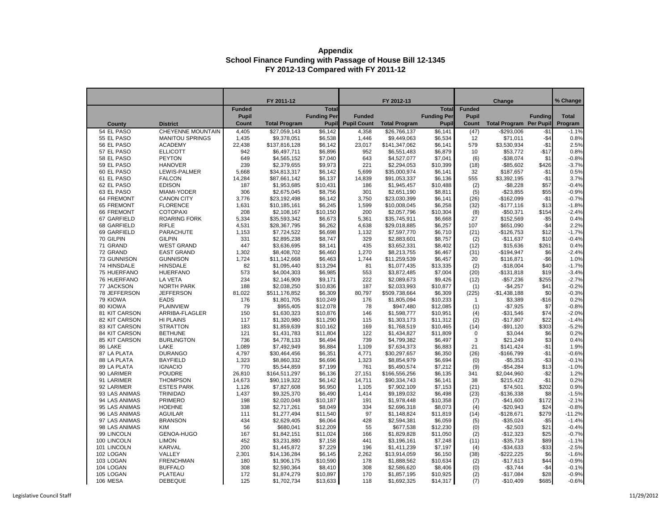|                        |                                  |                               | FY 2011-12           |                     |                    | FY 2012-13           |                    |               |                                |                | % Change           |
|------------------------|----------------------------------|-------------------------------|----------------------|---------------------|--------------------|----------------------|--------------------|---------------|--------------------------------|----------------|--------------------|
|                        |                                  |                               |                      | <b>Total</b>        |                    |                      | <b>Total</b>       | <b>Funded</b> | <b>Change</b>                  |                |                    |
|                        |                                  | <b>Funded</b><br><b>Pupil</b> |                      | <b>Funding Per</b>  | <b>Funded</b>      |                      | <b>Funding Per</b> | <b>Pupil</b>  |                                | <b>Funding</b> | <b>Total</b>       |
| <b>County</b>          | <b>District</b>                  | <b>Count</b>                  | <b>Total Program</b> | <b>Pupil</b>        | <b>Pupil Count</b> | <b>Total Program</b> | <b>Pupil</b>       | <b>Count</b>  | <b>Total Program Per Pupil</b> |                | Program            |
| 54 EL PASO             | <b>CHEYENNE MOUNTAIN</b>         | 4,405                         | \$27,059,143         | \$6,142             | 4,358              | \$26,766,137         | \$6,141            | (47)          | $-$293,006$                    | $- $1$         | $-1.1%$            |
| 55 EL PASO             | <b>MANITOU SPRINGS</b>           | 1,435                         | \$9,378,051          | \$6,538             | 1,446              | \$9,449,063          | \$6,534            | 12            | \$71,011                       | $-$ \$4        | 0.8%               |
| 56 EL PASO             | <b>ACADEMY</b>                   | 22,438                        | \$137,816,128        | \$6,142             | 23,017             | \$141,347,062        | \$6,141            | 579           | \$3,530,934                    | $-$1$          | 2.5%               |
| 57 EL PASO             | <b>ELLICOTT</b>                  | 942                           | \$6,497,711          | \$6,896             | 952                | \$6,551,483          | \$6,879            | 10            | \$53,772                       | $-$17$         | 0.8%               |
| 58 EL PASO             | <b>PEYTON</b>                    | 649                           | \$4,565,152          | \$7,040             | 643                | \$4,527,077          | \$7,041            | (6)           | $-$38,074$                     | \$1            | $-0.8%$            |
| 59 EL PASO             | <b>HANOVER</b>                   | 239                           | \$2,379,655          | \$9,973             | 221                | \$2,294,053          | \$10,399           | (18)          | $-$ \$85,602                   | \$426          | $-3.7%$            |
| 60 EL PASO             | LEWIS-PALMER                     | 5,668                         | \$34,813,317         | \$6,142             | 5,699              | \$35,000,974         | \$6,141            | 32            | \$187,657                      | $-$1$          | 0.5%               |
| 61 EL PASO             | <b>FALCON</b>                    | 14,284                        | \$87,661,142         | \$6,137             | 14,839             | \$91,053,337         | \$6,136            | 555           | \$3,392,195                    | $-$1$          | 3.7%               |
| 62 EL PASO             | <b>EDISON</b>                    | 187                           | \$1,953,685          | \$10,431            | 186                | \$1,945,457          | \$10,488           | (2)           | $-$ \$8,228                    | \$57           | $-0.4%$            |
| 63 EL PASO             | MIAMI-YODER                      | 306                           | \$2,675,045          | \$8,756             | 301                | \$2,651,190          | \$8,811            | (5)           | $-$23,855$                     | \$55           | $-0.9%$            |
| 64 FREMONT             | <b>CANON CITY</b>                | 3,776                         | \$23,192,498         | \$6,142             | 3,750              | \$23,030,399         | \$6,141            | (26)          | $-$162,099$                    | $-$1$          | $-0.7%$            |
| <b>65 FREMONT</b>      | <b>FLORENCE</b>                  | 1,631                         | \$10,185,161         | \$6,245             | 1,599              | \$10,008,045         | \$6,258            | (32)          | $-$177,116$                    | \$13           | $-1.8%$            |
| 66 FREMONT             | <b>COTOPAXI</b>                  | 208                           | \$2,108,167          | \$10,150            | 200                | \$2,057,796          | \$10,304           | (8)           | $-$50,371$                     | \$154          | $-2.4%$            |
| 67 GARFIELD            | <b>ROARING FORK</b>              | 5,334                         | \$35,593,342         | \$6,673             | 5,361              | \$35,745,911         | \$6,668            | 27            | \$152,569                      | $-$ \$5        | 0.4%               |
| 68 GARFIELD            | <b>RIFLE</b>                     | 4,531                         | \$28,367,795         | \$6,262             | 4,638              | \$29,018,885         | \$6,257            | 107           | \$651,090                      | $-$ \$4        | 2.2%               |
| 69 GARFIELD            | <b>PARACHUTE</b>                 | 1,153                         | \$7,724,522          | \$6,698             | 1,132              | \$7,597,770          | \$6,710            | (21)          | $-$126,753$                    | \$12           | $-1.7%$            |
| 70 GILPIN              | <b>GILPIN</b>                    | 331                           | \$2,895,238          | \$8,747             | 329                | \$2,883,601          | \$8,757            | (2)           | $-$11,637$                     | \$10           | $-0.4%$            |
| 71 GRAND               | <b>WEST GRAND</b>                | 447                           | \$3,636,695          | \$8,141             | 435                | \$3,652,331          | \$8,402            | (12)          | \$15,636                       | \$261          | 0.4%               |
| 72 GRAND               | <b>EAST GRAND</b>                | 1,302                         | \$8,408,702          | \$6,460             | 1,270              | \$8,213,755          | \$6,467            | (31)          | $-$194,947$                    | \$6            | $-2.4%$            |
| 73 GUNNISON            | <b>GUNNISON</b>                  | 1,724                         | \$11,142,668         | \$6,463             | 1,744              | \$11,259,539         | \$6,457            | 20            | \$116,871                      | $-$ \$6        | 1.0%               |
| 74 HINSDALE            | <b>HINSDALE</b>                  | 82                            | \$1,095,440          | \$13,294            | 81                 | \$1,077,435          | \$13,335           | (2)           | $-$18,004$                     | \$40           | $-1.7%$            |
| 75 HUERFANO            | <b>HUERFANO</b>                  | 573                           | \$4,004,303          | \$6,985             | 553                | \$3,872,485          | \$7,004            | (20)          | $-$131,818$                    | \$19           | $-3.4%$            |
| 76 HUERFANO            | <b>LA VETA</b>                   | 234                           | \$2,146,909          | \$9,171             | 222                | \$2,089,673          | \$9,426            | (12)          | $-$57,236$                     | \$255          | $-2.7%$            |
| 77 JACKSON             | <b>NORTH PARK</b>                | 188                           | \$2,038,250          | \$10,836            | 187                | \$2,033,993          | \$10,877           | (1)           | $-$4,257$                      | \$41           | $-0.2%$            |
| 78 JEFFERSON           | <b>JEFFERSON</b>                 | 81,022                        | \$511,176,852        | \$6,309             | 80,797             | \$509,738,664        | \$6,309            | (225)         | $-$1,438,188$                  | \$0            | $-0.3%$            |
| 79 KIOWA               | <b>EADS</b>                      | 176                           | \$1,801,705          | \$10,249            | 176                | \$1,805,094          | \$10,233           |               | \$3,389                        | $-$16$         | 0.2%               |
| 80 KIOWA               | <b>PLAINVIEW</b>                 | 79                            | \$955,405            | \$12,078            | 78                 | \$947,480            | \$12,085           | (1)           | $-$7,925$                      | \$7            | $-0.8%$            |
| 81 KIT CARSON          | ARRIBA-FLAGLER                   | 150                           | \$1,630,323          | \$10,876            | 146                | \$1,598,777          | \$10,951           | (4)           | $-$31,546$                     | \$74           | $-2.0%$            |
| 82 KIT CARSON          | <b>HI PLAINS</b>                 | 117                           | \$1,320,980          | \$11,290            | 115                | \$1,303,173          | \$11,312           | (2)           | $-$17,807$                     | \$22           | $-1.4%$            |
| 83 KIT CARSON          | <b>STRATTON</b>                  | 183                           | \$1,859,639          | \$10,162            | 169                | \$1,768,519          | \$10,465           | (14)          | $-$91,120$                     | \$303          | $-5.2%$            |
| 84 KIT CARSON          | <b>BETHUNE</b>                   | 121                           | \$1,431,783          | \$11,804            | 122                | \$1,434,827          | \$11,809           | 0             | \$3,044                        | \$6            | 0.2%               |
| 85 KIT CARSON          | <b>BURLINGTON</b>                | 736                           | \$4,778,133          | \$6,494             | 739                | \$4,799,382          | \$6,497            | 3             | \$21,249                       | \$3            | 0.4%               |
| 86 LAKE                | <b>LAKE</b>                      | 1,089                         | \$7,492,949          | \$6,884             | 1,109              | \$7,634,373          | \$6,883            | 21            | \$141,424                      | $- $1$         | 1.9%               |
| 87 LA PLATA            | <b>DURANGO</b>                   | 4,797                         | \$30,464,456         | \$6,351             | 4,771              | \$30,297,657         | \$6,350            | (26)          | $-$166,799$                    | $- $1$         | $-0.6%$            |
| 88 LA PLATA            | <b>BAYFIELD</b>                  | 1,323                         | \$8,860,332          | \$6,696             | 1,323              | \$8,854,979          | \$6,694            | (0)           | $-$5,353$                      | $- $3$         | $-0.1%$            |
| 89 LA PLATA            | <b>IGNACIO</b>                   | 770                           | \$5,544,859          | \$7,199             | 761                | \$5,490,574          | \$7,212            | (9)           | $-$54,284$                     | \$13           | $-1.0%$            |
| 90 LARIMER             | <b>POUDRE</b>                    | 26,810                        | \$164,511,297        | \$6,136             | 27,151             | \$166,556,256        | \$6,135            | 341           | \$2,044,960                    | $- $2$         | 1.2%               |
| 91 LARIMER             | <b>THOMPSON</b>                  | 14,673                        | \$90,119,322         | \$6,142             | 14,711             | \$90,334,743         | \$6,141            | 38            | \$215,422                      | $-$1$          | 0.2%               |
| 92 LARIMER             | <b>ESTES PARK</b>                | 1,126                         | \$7,827,608          | \$6,950             | 1,105              | \$7,902,109          | \$7,153            | (21)          | \$74,501                       | \$202          | 0.9%               |
| 93 LAS ANIMAS          | <b>TRINIDAD</b>                  | 1,437                         | \$9,325,370          | \$6,490             | 1,414              | \$9,189,032          | \$6,498            | (23)          | $-$136,338$                    | \$8            | $-1.5%$            |
| 94 LAS ANIMAS          | <b>PRIMERO</b>                   | 198                           | \$2,020,048          | \$10,187            | 191                | \$1,978,448          | \$10,358           | (7)           | $-$ \$41,600                   | \$172          | $-2.1%$            |
| 95 LAS ANIMAS          | <b>HOEHNE</b>                    | 338                           | \$2,717,261          | \$8,049             | 334                | \$2,696,318          | \$8,073            | (4)           | $-$20,943$                     | \$24           | $-0.8%$            |
| 96 LAS ANIMAS          | <b>AGUILAR</b>                   | 111                           | \$1,277,494          | \$11,540            | 97                 | \$1,148,824          | \$11,819           | (14)          | $-$128,671$                    | \$279          | $-11.2%$           |
| 97 LAS ANIMAS          | <b>BRANSON</b>                   | 434                           | \$2,629,405          | \$6,064             | 428                | \$2,594,381          | \$6,059            | (5)           | $-$35,024$                     | $-$ \$5        | $-1.4%$            |
| 98 LAS ANIMAS          | KIM                              | 56                            | \$680,041            | \$12,209            | 55                 | \$677,538            | \$12,230           | (0)           | $-$2,503$                      | \$21           | $-0.4%$            |
| 99 LINCOLN             | GENOA-HUGO                       | 167                           | \$1,842,151          | \$11,024            | 166                | \$1,829,828          | \$11,050           | (2)           | $-$12,323$                     | \$25           | $-0.7%$            |
| 100 LINCOLN            | <b>LIMON</b>                     | 452                           | \$3,231,880          | \$7,158             | 441                | \$3,196,161          | \$7,248            | (11)          | $-$ \$35,718                   | \$89           | $-1.1%$            |
| 101 LINCOLN            | KARVAL                           | 200                           | \$1,445,872          | \$7,229             | 196                | \$1,411,239          | \$7,197            | (4)           | $-$ \$34,633                   | $-$ \$33       | $-2.5%$            |
| 102 LOGAN              | VALLEY                           | 2,301                         | \$14,136,284         | \$6,145             | 2,262              | \$13,914,059         | \$6,150            | (38)          | $-$ \$222,225                  | \$6            | $-1.6%$            |
| 103 LOGAN              | <b>FRENCHMAN</b>                 | 180                           | \$1,906,175          | \$10,590            | 178                | \$1,888,562          | \$10,634           | (2)           | $-$17,613$                     | \$44           | $-0.9%$            |
| 104 LOGAN<br>105 LOGAN | <b>BUFFALO</b><br><b>PLATEAU</b> | 308                           | \$2,590,364          | \$8,410<br>\$10,897 | 308<br>170         | \$2,586,620          | \$8,406            | (0)           | $-$3,744$                      | $-$4$<br>\$28  | $-0.1%$<br>$-0.9%$ |
| 106 MESA               | <b>DEBEQUE</b>                   | 172<br>125                    | \$1,874,279          |                     |                    | \$1,857,195          | \$10,925           | (2)           | $-$17,084$                     |                |                    |
|                        |                                  |                               | \$1,702,734          | \$13,633            | 118                | \$1,692,325          | \$14,317           | (7)           | $-$10,409$                     | \$685          | $-0.6%$            |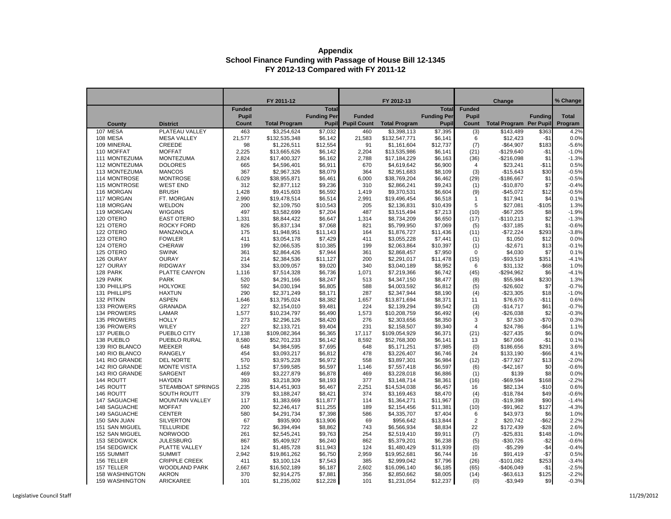|                                  |                                      |               | FY 2011-12                 |                    |                    | FY 2012-13                 |                    |                | Change                         |                            | % Change        |
|----------------------------------|--------------------------------------|---------------|----------------------------|--------------------|--------------------|----------------------------|--------------------|----------------|--------------------------------|----------------------------|-----------------|
|                                  |                                      | <b>Funded</b> |                            | <b>Total</b>       |                    |                            | <b>Total</b>       | <b>Funded</b>  |                                |                            |                 |
|                                  |                                      | <b>Pupil</b>  |                            | <b>Funding Per</b> | <b>Funded</b>      |                            | <b>Funding Per</b> | <b>Pupil</b>   |                                | <b>Funding</b>             | <b>Total</b>    |
| <b>County</b>                    | <b>District</b>                      | <b>Count</b>  | <b>Total Program</b>       | <b>Pupil</b>       | <b>Pupil Count</b> | <b>Total Program</b>       | <b>Pupil</b>       | <b>Count</b>   | <b>Total Program Per Pupil</b> |                            | Program         |
| 107 MESA                         | PLATEAU VALLEY                       | 463           | \$3,254,624                | \$7,032            | 460                | \$3,398,113                | \$7,395            | (3)            | \$143,489                      | \$363                      | 4.2%            |
| 108 MESA                         | <b>MESA VALLEY</b>                   | 21,577        | \$132,535,348              | \$6,142            | 21,583             | \$132,547,771              | \$6,141            | 6              | \$12,423                       | $-$1$                      | 0.0%            |
| 109 MINERAL                      | <b>CREEDE</b>                        | 98            | \$1,226,511                | \$12,554           | 91                 | \$1,161,604                | \$12,737           | (7)            | $-$64,907$                     | \$183                      | $-5.6%$         |
| 110 MOFFAT                       | <b>MOFFAT</b>                        | 2,225         | \$13,665,626               | \$6,142            | 2,204              | \$13,535,986               | \$6,141            | (21)           | $-$129,640$                    | $-$1$                      | $-1.0%$         |
| 111 MONTEZUMA                    | <b>MONTEZUMA</b>                     | 2,824         | \$17,400,327               | \$6,162            | 2,788              | \$17,184,229               | \$6,163            | (36)           | $-$216,098$                    | \$1                        | $-1.3%$         |
| 112 MONTEZUMA                    | <b>DOLORES</b>                       | 665           | \$4,596,401                | \$6,911            | 670                | \$4,619,642                | \$6,900            | 4              | \$23,241                       | $-$11$                     | 0.5%            |
| 113 MONTEZUMA                    | <b>MANCOS</b>                        | 367           | \$2,967,326                | \$8,079            | 364                | \$2,951,683                | \$8,109            | (3)            | $-$15,643$                     | \$30                       | $-0.5%$         |
| 114 MONTROSE                     | <b>MONTROSE</b>                      | 6,029         | \$38,955,871               | \$6,461            | 6,000              | \$38,769,204               | \$6,462            | (29)           | $-$186,667$                    | \$1                        | $-0.5%$         |
| 115 MONTROSE                     | <b>WEST END</b>                      | 312           | \$2,877,112                | \$9,236            | 310                | \$2,866,241                | \$9,243            | (1)            | $-$10,870$                     | \$7                        | $-0.4%$         |
| 116 MORGAN                       | <b>BRUSH</b>                         | 1,428         | \$9,415,603                | \$6,592            | 1,419              | \$9,370,531                | \$6,604            | (9)            | $-$45,072$                     | \$12                       | $-0.5%$         |
| 117 MORGAN                       | FT. MORGAN                           | 2,990         | \$19,478,514               | \$6,514            | 2,991              | \$19,496,454               | \$6,518            | $\mathbf{1}$   | \$17,941                       | \$4                        | 0.1%            |
| 118 MORGAN                       | <b>WELDON</b>                        | 200           | \$2,109,750                | \$10,543           | 205                | \$2,136,831                | \$10,439           | 5              | \$27,081                       | $-$105$                    | 1.3%            |
| 119 MORGAN                       | <b>WIGGINS</b>                       | 497           | \$3,582,699                | \$7,204            | 487                | \$3,515,494                | \$7,213            | (10)           | $-$67,205$                     | \$8                        | $-1.9%$         |
| 120 OTERO                        | <b>EAST OTERO</b>                    | 1,331         | \$8,844,422                | \$6,647            | 1,314              | \$8,734,209                | \$6,650            | (17)           | $-$110,213$                    | \$2                        | $-1.3%$         |
| 121 OTERO                        | <b>ROCKY FORD</b>                    | 826           | \$5,837,134                | \$7,068            | 821                | \$5,799,950                | \$7,069            | (5)            | $-$37,185$                     | \$1                        | $-0.6%$         |
| 122 OTERO                        | MANZANOLA                            | 175           | \$1,948,951                | \$11,143           | 164                | \$1,876,727                | \$11,436           | (11)           | $-$72,224$                     | \$293                      | $-3.8%$         |
| 123 OTERO                        | <b>FOWLER</b>                        | 411           | \$3,054,178                | \$7,429            | 411                | \$3,055,228                | \$7,441            | (1)            | \$1,050                        | \$12                       | 0.0%            |
| 124 OTERO                        | <b>CHERAW</b>                        | 199           | \$2,066,535                | \$10,385           | 199                | \$2,063,864                | \$10,397           | (1)            | $-$2,671$                      | \$13                       | $-0.1%$         |
| 125 OTERO                        | <b>SWINK</b>                         | 361           | \$2,864,426                | \$7,944            | 361                | \$2,868,457                | \$7,950            | $\mathbf 0$    | \$4,030                        | \$7                        | 0.1%            |
| 126 OURAY                        | <b>OURAY</b>                         | 214           | \$2,384,536                | \$11,127           | 200                | \$2,291,017                | \$11,478           | (15)           | $-$93,519$                     | \$351                      | $-4.1%$         |
| 127 OURAY                        | <b>RIDGWAY</b>                       | 334           | \$3,009,057                | \$9,020            | 340                | \$3,040,189                | \$8,952            | 6              | \$31,132                       | $-$ \$68                   | 1.0%            |
| 128 PARK                         | PLATTE CANYON                        | 1,116         | \$7,514,328                | \$6,736            | 1,071              | \$7,219,366                | \$6,742            | (45)           | $-$294,962$                    | \$6                        | $-4.1%$         |
| 129 PARK                         | <b>PARK</b>                          | 520           | \$4,291,166                | \$8,247            | 513                | \$4,347,150                | \$8,477            | (8)            | \$55,984                       | \$230                      | 1.3%            |
| 130 PHILLIPS                     | <b>HOLYOKE</b>                       | 592           | \$4,030,194                | \$6,805            | 588                | \$4,003,592                | \$6,812            | (5)            | $-$26,602$                     | \$7                        | $-0.7%$         |
| 131 PHILLIPS                     | <b>HAXTUN</b>                        | 290           | \$2,371,249                | \$8,171            | 287                | \$2,347,944                | \$8,190            | (4)            | $-$23,305$                     | \$18                       | $-1.0%$         |
| 132 PITKIN                       | <b>ASPEN</b>                         | 1,646         | \$13,795,024               | \$8,382            | 1,657              | \$13,871,694               | \$8,371            | 11             | \$76,670                       | $-$11$                     | 0.6%            |
| 133 PROWERS                      | <b>GRANADA</b>                       | 227           | \$2,154,010                | \$9,481            | 224                | \$2,139,294                | \$9,542            | (3)            | $-$14,717$                     | \$61                       | $-0.7%$         |
| 134 PROWERS                      | LAMAR                                | 1,577         | \$10,234,797               | \$6,490            | 1,573              | \$10,208,759               | \$6,492            | (4)            | $-$26,038$                     | \$2                        | $-0.3%$         |
| 135 PROWERS                      | <b>HOLLY</b>                         | 273           | \$2,296,126                | \$8,420            | 276                | \$2,303,656                | \$8,350            | 3              | \$7,530                        | $-$70$                     | 0.3%            |
| 136 PROWERS                      | WILEY                                | 227           | \$2,133,721                | \$9,404            | 231                | \$2,158,507                | \$9,340            | 4              | \$24,786                       | $-$ \$64<br>R <sub>6</sub> | 1.1%            |
| 137 PUEBLO                       | PUEBLO CITY                          | 17,138        | \$109,082,364              | \$6,365            | 17,117             | \$109,054,929              | \$6,371            | (21)           | $-$27,435$                     |                            | 0.0%            |
| 138 PUEBLO                       | PUEBLO RURAL                         | 8,580         | \$52,701,233               | \$6,142            | 8,592              | \$52,768,300               | \$6,141            | 13             | \$67,066                       | $-$ \$1                    | 0.1%            |
| 139 RIO BLANCO                   | <b>MEEKER</b>                        | 648           | \$4,984,595                | \$7,695            | 648                | \$5,171,251                | \$7,985            | (0)            | \$186,656                      | \$291                      | 3.6%            |
| 140 RIO BLANCO                   | <b>RANGELY</b>                       | 454           | \$3,093,217                | \$6,812            | 478                | \$3,226,407                | \$6,746            | 24             | \$133,190                      | $-$ \$66                   | 4.1%            |
| 141 RIO GRANDE<br>142 RIO GRANDE | DEL NORTE                            | 570           | \$3,975,228                | \$6,972            | 558                | \$3,897,301                | \$6,984            | (12)           | $-$77,927$                     | \$13                       | $-2.0%$         |
| 143 RIO GRANDE                   | <b>MONTE VISTA</b><br><b>SARGENT</b> | 1,152         | \$7,599,585                | \$6,597            | 1,146              | \$7,557,418                | \$6,597            | (6)            | $-$42,167$                     | \$0<br>\$8                 | $-0.6%$<br>0.0% |
| 144 ROUTT                        | <b>HAYDEN</b>                        | 469<br>393    | \$3,227,879<br>\$3,218,309 | \$6,878<br>\$8,193 | 469<br>377         | \$3,228,018<br>\$3,148,714 | \$6,886<br>\$8,361 | (1)            | \$139<br>$-$ \$69,594          | \$168                      | $-2.2%$         |
| 145 ROUTT                        | <b>STEAMBOAT SPRINGS</b>             |               | \$14,451,903               | \$6,467            |                    | \$14,534,038               | \$6,457            | (16)<br>16     | \$82,134                       | $-$10$                     | 0.6%            |
| 146 ROUTT                        | <b>SOUTH ROUTT</b>                   | 2,235<br>379  | \$3,188,247                | \$8,421            | 2,251<br>374       | \$3,169,463                | \$8,470            |                | $-$18,784$                     | \$49                       | $-0.6%$         |
| 147 SAGUACHE                     | <b>MOUNTAIN VALLEY</b>               | 117           | \$1,383,669                | \$11,877           | 114                | \$1,364,271                | \$11,967           | (4)            | $-$19,398$                     | \$90                       | $-1.4%$         |
| 148 SAGUACHE                     | <b>MOFFAT</b>                        | 200           | \$2,246,417                | \$11,255           | 189                | \$2,154,456                | \$11,381           | (3)<br>(10)    | $-$ \$91,962                   | \$127                      | $-4.3%$         |
| 149 SAGUACHE                     | <b>CENTER</b>                        | 580           | \$4,291,734                | \$7,398            | 586                | \$4,335,707                | \$7,404            | 6              | \$43,973                       | \$6                        | 1.0%            |
| 150 SAN JUAN                     | <b>SILVERTON</b>                     | 67            | \$935,900                  | \$13,906           | 69                 | \$956,642                  | \$13,844           | $\overline{c}$ | \$20,742                       | $-$ \$62                   | 2.2%            |
| 151 SAN MIGUEL                   | <b>TELLURIDE</b>                     | 722           | \$6,394,494                | \$8,862            | 743                | \$6,566,934                | \$8,834            | 22             | \$172,439                      | $-$ \$28                   | 2.6%            |
| 152 SAN MIGUEL                   | <b>NORWOOD</b>                       | 261           | \$2,545,241                | \$9,763            | 254                | \$2,519,410                | \$9,911            | (7)            | $-$ \$25,831                   | \$148                      | $-1.0%$         |
| 153 SEDGWICK                     | <b>JULESBURG</b>                     | 867           | \$5,409,927                | \$6,240            | 862                | \$5,379,201                | \$6,238            | (5)            | $-$30,726$                     | $ $2$                      | $-0.6%$         |
| 154 SEDGWICK                     | PLATTE VALLEY                        | 124           | \$1,485,728                | \$11,943           | 124                | \$1,480,429                | \$11,939           | (0)            | $-$5,299$                      | $-$4$                      | $-0.4%$         |
| 155 SUMMIT                       | <b>SUMMIT</b>                        | 2,942         | \$19,861,262               | \$6,750            | 2,959              | \$19,952,681               | \$6,744            | 16             | \$91,419                       | $-$7$                      | 0.5%            |
| 156 TELLER                       | <b>CRIPPLE CREEK</b>                 | 411           | \$3,100,124                | \$7,543            | 385                | \$2,999,042                | \$7,796            | (26)           | $-$101,082$                    | \$253                      | $-3.4%$         |
| 157 TELLER                       | <b>WOODLAND PARK</b>                 | 2,667         | \$16,502,189               | \$6,187            | 2,602              | \$16,096,140               | \$6,185            | (65)           | $-$406,049$                    | -\$1                       | $-2.5%$         |
| <b>158 WASHINGTON</b>            | <b>AKRON</b>                         | 370           | \$2,914,275                | \$7,881            | 356                | \$2,850,662                | \$8,005            | (14)           | $-$ \$63,613                   | \$125                      | $-2.2%$         |
| <b>159 WASHINGTON</b>            | <b>ARICKAREE</b>                     | 101           | \$1,235,002                | \$12,228           | 101                | \$1,231,054                | \$12,237           | (0)            | $-$3,949$                      | \$9                        | $-0.3%$         |